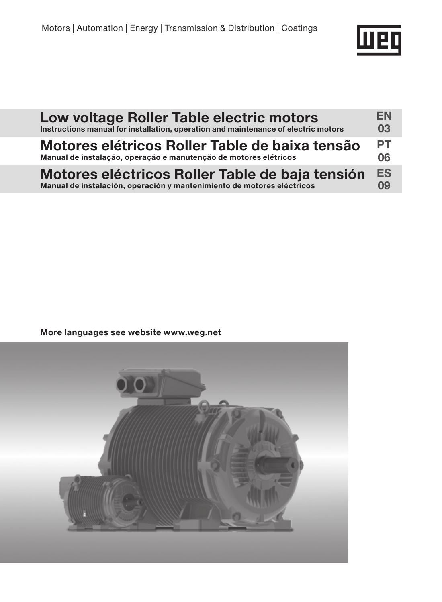

| Low voltage Roller Table electric motors                                           | EN        |
|------------------------------------------------------------------------------------|-----------|
| Instructions manual for installation, operation and maintenance of electric motors | 03        |
| Motores elétricos Roller Table de baixa tensão                                     | <b>PT</b> |
| Manual de instalação, operação e manutenção de motores elétricos                   | 06        |
| Motores eléctricos Roller Table de baja tensión                                    | <b>ES</b> |
| Manual de instalación, operación y mantenimiento de motores eléctricos             | 09        |

More languages see website www.weg.net

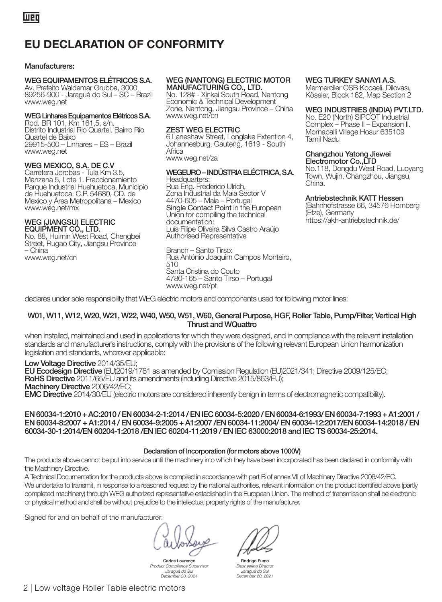# EU DECLARATION OF CONFORMITY

### Manufacturers:

### WEG EQUIPAMENTOS ELÉTRICOS S.A.

Av. Prefeito Waldemar Grubba, 3000 89256-900 - Jaraguá do Sul – SC – Brazil www.weg.net

### WEG Linhares Equipamentos Elétricos S.A.

Rod. BR 101, Km 161,5, s/n. Distrito Industrial Rio Quartel. Bairro Rio Quartel de Baixo 29915-500 – Linhares – ES – Brazil www.weg.net

### WEG MEXICO, S.A. DE C.V

Carretera Jorobas - Tula Km 3.5, Manzana 5, Lote 1, Fraccionamiento Parque Industrial Huehuetoca, Municipio de Huehuetoca, C.P. 54680, CD. de Mexico y Área Metropolitana – Mexico www.weg.net/mx

#### WEG (JIANGSU) ELECTRIC EQUIPMENT CO., LTD.

No. 88, Huimin West Road, Chengbei Street, Rugao City, Jiangsu Province – China www.weg.net/cn

### WEG (NANTONG) ELECTRIC MOTOR MANUFACTURING CO., LTD.

No. 128# - Xinkai South Road, Nantong Economic & Technical Development Zone, Nantong, Jiangsu Province – China www.weg.net/cn

### ZEST WEG ELECTRIC

6 Laneshaw Street, Longlake Extention 4, Johannesburg, Gauteng, 1619 - South **Africa** www.weg.net/za

#### WEGEURO – INDÚSTRIA ELÉCTRICA, S.A. Headquarters:

Rua Eng. Frederico Ulrich, Zona Industrial da Maia Sector V 4470-605 – Maia – Portugal Single Contact Point in the European Union for compiling the technical documentation: Luís Filipe Oliveira Silva Castro Araújo Authorised Representative

#### Branch – Santo Tirso: Rua António Joaquim Campos Monteiro, 510 Santa Cristina do Couto 4780-165 – Santo Tirso – Portugal www.weg.net/pt

### WEG TURKEY SANAYI A.S.

Mermerciler OSB Kocaeli, Dilovası, Köseler, Block 162, Map Section 2

### WEG INDUSTRIES (INDIA) PVT.LTD.

No. E20 (North) SIPCOT Industrial Complex – Phase II – Expansion II. Mornapalli Village Hosur 635109 Tamil Nadu

### Changzhou Yatong Jiewei Electromotor Co., LTD

No.118, Dongdu West Road, Luoyang Town, Wujin, Changzhou, Jiangsu, China.

### Antriebstechnik KATT Hessen

(Bahnhofstrasse 66, 34576 Homberg (Efze), Germany https://akh-antriebstechnik.de/

declares under sole responsibility that WEG electric motors and components used for following motor lines:

### W01, W11, W12, W20, W21, W22, W40, W50, W51, W60, General Purpose, HGF, Roller Table, Pump/Filter, Vertical High Thrust and WQuattro

when installed, maintained and used in applications for which they were designed, and in compliance with the relevant installation standards and manufacturer's instructions, comply with the provisions of the following relevant European Union harmonization legislation and standards, wherever applicable:

Low Voltage Directive 2014/35/EU;<br>EU Ecodesian Directive (EU/2019/1781 as amended by Comission Regulation (EU/2021/341: Directive 2009/125/EC: RoHS Directive 2011/65/EU and its amendments (including Directive 2015/863/EU);<br>Machinery Directive 2006/42/EC; EMC Directive 2014/30/EU (electric motors are considered inherently benign in terms of electromagnetic compatibility).

EN 60034-1:2010 + AC:2010 / EN 60034-2-1:2014 / EN IEC 60034-5:2020 / EN 60034-6:1993/ EN 60034-7:1993 + A1:2001 / EN 60034-8:2007 + A1:2014 / EN 60034-9:2005 + A1:2007 /EN 60034-11:2004/ EN 60034-12:2017/EN 60034-14:2018 / EN 60034-30-1:2014/EN 60204-1:2018 /EN IEC 60204-11:2019 / EN IEC 63000:2018 and IEC TS 60034-25:2014.

### Declaration of Incorporation (for motors above 1000V)

The products above cannot be put into service until the machinery into which they have been incorporated has been declared in conformity with the Machinery Directive.

A Technical Documentation for the products above is compiled in accordance with part B of annex VII of Machinery Directive 2006/42/EC. We undertake to transmit, in response to a reasoned request by the national authorities, relevant information on the product identified above (partly completed machinery) through WEG authorized representative established in the European Union. The method of transmission shall be electronic or physical method and shall be without prejudice to the intellectual property rights of the manufacturer.

Signed for and on behalf of the manufacturer:

Carlos Lourenço Product Compliance Supervisor Jaraguá do Sul December 20, 2021



Engineering Director Jaraguá do Sul December 20, 2021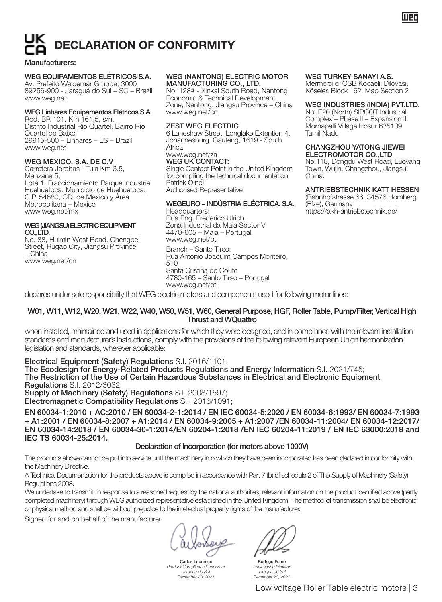# **ECLARATION OF CONFORMITY**

### Manufacturers:

# WEG EQUIPAMENTOS ELÉTRICOS S.A. Av. Prefeito Waldemar Grubba, 3000

89256-900 - Jaraguá do Sul – SC – Brazil www.weg.net

### WEG Linhares Equipamentos Elétricos S.A.

Rod. BR 101, Km 161,5, s/n. Distrito Industrial Rio Quartel. Bairro Rio Quartel de Baixo 29915-500 – Linhares – ES – Brazil www.weg.net

### WEG MEXICO, S.A. DE C.V

Carretera Jorobas - Tula Km 3.5, Manzana 5, Lote 1, Fraccionamiento Parque Industrial Huehuetoca, Municipio de Huehuetoca, C.P. 54680, CD. de Mexico y Área Metropolitana – Mexico www.weg.net/mx

### WEG (JIANGSU) ELECTRIC EQUIPMENT CO. LTD.

No. 88, Huimin West Road, Chengbei Street, Rugao City, Jiangsu Province – China www.weg.net/cn

### WEG (NANTONG) ELECTRIC MOTOR MANUFACTURING CO., LTD.

No. 128# - Xinkai South Road, Nantong Economic & Technical Development Zone, Nantong, Jiangsu Province – China www.weg.net/cn

### ZEST WEG ELECTRIC

6 Laneshaw Street, Longlake Extention 4, Johannesburg, Gauteng, 1619 - South **Africa** 

#### www.weg.net/za WEG UK CONTACT:

Single Contact Point in the United Kingdom for compiling the technical documentation: Patrick O'neill Authorised Representative

#### WEGEURO – INDÚSTRIA ELÉCTRICA, S.A. Headquarters:

Rua Eng. Frederico Ulrich, Zona Industrial da Maia Sector V 4470-605 – Maia – Portugal www.weg.net/pt Branch – Santo Tirso:

Rua António Joaquim Campos Monteiro, 510 Santa Cristina do Couto 4780-165 – Santo Tirso – Portugal www.weg.net/pt

### WEG TURKEY SANAYI A.S.

Mermerciler OSB Kocaeli, Dilovası, Köseler, Block 162, Map Section 2

### WEG INDUSTRIES (INDIA) PVT.LTD.

luen

No. E20 (North) SIPCOT Industrial Complex – Phase II – Expansion II. Mornapalli Village Hosur 635109 Tamil Nadu

### CHANGZHOU YATONG JIEWEI ELECTROMOTOR CO.,LTD

No.118, Dongdu West Road, Luoyang Town, Wujin, Changzhou, Jiangsu, China.

### ANTRIEBSTECHNIK KATT HESSEN

(Bahnhofstrasse 66, 34576 Homberg (Efze), Germany https://akh-antriebstechnik.de/

declares under sole responsibility that WEG electric motors and components used for following motor lines:

### W01, W11, W12, W20, W21, W22, W40, W50, W51, W60, General Purpose, HGF, Roller Table, Pump/Filter, Vertical High Thrust and WQuattro

when installed, maintained and used in applications for which they were designed, and in compliance with the relevant installation standards and manufacturer's instructions, comply with the provisions of the following relevant European Union harmonization legislation and standards, wherever applicable:

Electrical Equipment (Safety) Regulations S.I. 2016/1101;

The Ecodesign for Energy-Related Products Regulations and Energy Information S.I. 2021/745; The Restriction of the Use of Certain Hazardous Substances in Electrical and Electronic Equipment Regulations S.I. 2012/3032;

Supply of Machinery (Safety) Regulations S.I. 2008/1597;

Electromagnetic Compatibility Regulations S.I. 2016/1091;

EN 60034-1:2010 + AC:2010 / EN 60034-2-1:2014 / EN IEC 60034-5:2020 / EN 60034-6:1993/ EN 60034-7:1993 + A1:2001 / EN 60034-8:2007 + A1:2014 / EN 60034-9:2005 + A1:2007 /EN 60034-11:2004/ EN 60034-12:2017/ EN 60034-14:2018 / EN 60034-30-1:2014/EN 60204-1:2018 /EN IEC 60204-11:2019 / EN IEC 63000:2018 and IEC TS 60034-25:2014.

### Declaration of Incorporation (for motors above 1000V)

The products above cannot be put into service until the machinery into which they have been incorporated has been declared in conformity with the Machinery Directive.

A Technical Documentation for the products above is compiled in accordance with Part 7 (b) of schedule 2 of The Supply of Machinery (Safety) Regulations 2008.

We undertake to transmit, in response to a reasoned request by the national authorities, relevant information on the product identified above (partly completed machinery) through WEG authorized representative established in the United Kingdom. The method of transmission shall be electronic or physical method and shall be without prejudice to the intellectual property rights of the manufacturer.

Signed for and on behalf of the manufacturer:

Sau Carlos Lourenço

Product Compliance Supervisor Jaraguá do Sul December 20, 2021

Rodrigo Fun Engineering Director

Jaraguá do Sul December 20, 2021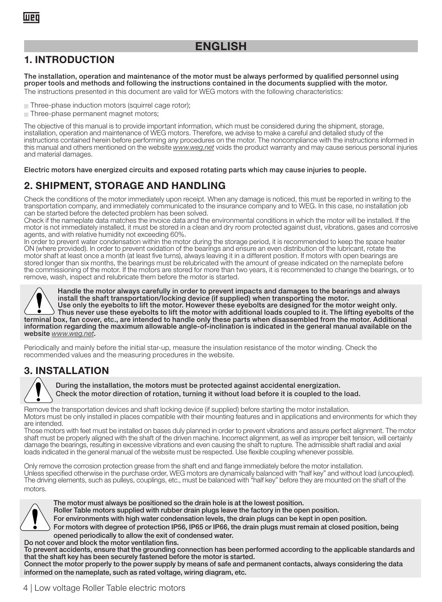### ENGLISH

### 1. INTRODUCTION

The installation, operation and maintenance of the motor must be always performed by qualified personnel using proper tools and methods and following the instructions contained in the documents supplied with the motor. The instructions presented in this document are valid for WEG motors with the following characteristics:

Three-phase induction motors (squirrel cage rotor);

Three-phase permanent magnet motors;

The objective of this manual is to provide important information, which must be considered during the shipment, storage, installation, operation and maintenance of WEG motors. Therefore, we advise to make a careful and detailed study of the<br>instructions contained herein before performing any procedures on the motor. The noncompliance with th this manual and others mentioned on the website www.weg.net voids the product warranty and may cause serious personal injuries and material damages.

Electric motors have energized circuits and exposed rotating parts which may cause injuries to people.

### 2. SHIPMENT, STORAGE AND HANDLING

Check the conditions of the motor immediately upon receipt. When any damage is noticed, this must be reported in writing to the transportation company, and immediately communicated to the insurance company and to WEG. In this case, no installation job can be started before the detected problem has been solved.

Check if the nameplate data matches the invoice data and the environmental conditions in which the motor will be installed. If the motor is not immediately installed, it must be stored in a clean and dry room protected against dust, vibrations, gases and corrosive agents, and with relative humidity not exceeding 60%.

In order to prevent water condensation within the motor during the storage period, it is recommended to keep the space heater ON (where provided). In order to prevent oxidation of the bearings and ensure an even distribution of the lubricant, rotate the motor shaft at least once a month (at least five turns), always leaving it in a different position. If motors with open bearings are stored longer than six months, the bearings must be relubricated with the amount of grease indicated on the nameplate before the commissioning of the motor. If the motors are stored for more than two years, it is recommended to change the bearings, or to remove, wash, inspect and relubricate them before the motor is started.

Handle the motor always carefully in order to prevent impacts and damages to the bearings and always install the shaft transportation/locking device (if supplied) when transporting the motor. Use only the eyebolts to lift the motor. However these eyebolts are designed for the motor weight only. Thus never use these eyebolts to lift the motor with additional loads coupled to it. The lifting eyebolts of the terminal box, fan cover, etc., are intended to handle only these parts when disassembled from the motor. Additional information regarding the maximum allowable angle-of-inclination is indicated in the general manual available on the website www.weg.net

Periodically and mainly before the initial star-up, measure the insulation resistance of the motor winding. Check the recommended values and the measuring procedures in the website.

### 3. INSTALLATION



During the installation, the motors must be protected against accidental energization. Check the motor direction of rotation, turning it without load before it is coupled to the load.

Remove the transportation devices and shaft locking device (if supplied) before starting the motor installation. Motors must be only installed in places compatible with their mounting features and in applications and environments for which they are intended.

Those motors with feet must be installed on bases duly planned in order to prevent vibrations and assure perfect alignment. The motor shaft must be properly aligned with the shaft of the driven machine. Incorrect alignment, as well as improper belt tension, will certainly damage the bearings, resulting in excessive vibrations and even causing the shaft to rupture. The admissible shaft radial and axial loads indicated in the general manual of the website must be respected. Use flexible coupling whenever possible.

Only remove the corrosion protection grease from the shaft end and flange immediately before the motor installation. Unless specified otherwise in the purchase order, WEG motors are dynamically balanced with "half key" and without load (uncoupled). The driving elements, such as pulleys, couplings, etc., must be balanced with "half key" before they are mounted on the shaft of the motors.



The motor must always be positioned so the drain hole is at the lowest position.

Roller Table motors supplied with rubber drain plugs leave the factory in the open position.

For environments with high water condensation levels, the drain plugs can be kept in open position.

For motors with degree of protection IP56, IP65 or IP66, the drain plugs must remain at closed position, being opened periodically to allow the exit of condensed water. Do not cover and block the motor ventilation fins.

To prevent accidents, ensure that the grounding connection has been performed according to the applicable standards and that the shaft key has been securely fastened before the motor is started.

Connect the motor properly to the power supply by means of safe and permanent contacts, always considering the data informed on the nameplate, such as rated voltage, wiring diagram, etc.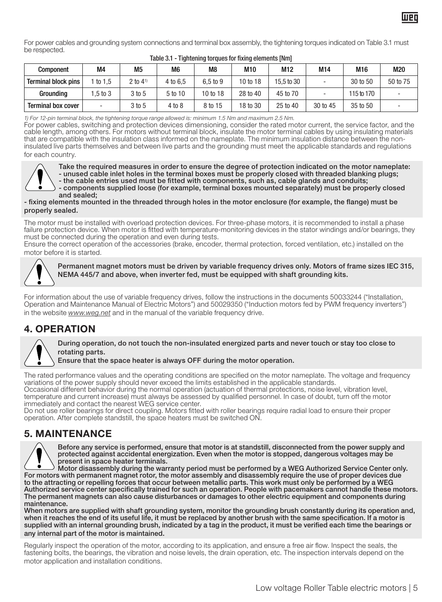For power cables and grounding system connections and terminal box assembly, the tightening torques indicated on Table 3.1 must be respected.

| Component                  | M4       | M <sub>5</sub>           | M <sub>6</sub> | M <sub>8</sub> | M10      | M <sub>12</sub> | M14      | M16        | M20      |
|----------------------------|----------|--------------------------|----------------|----------------|----------|-----------------|----------|------------|----------|
| <b>Terminal block pins</b> | to $1.5$ | $2$ to $4$ <sup>1)</sup> | 4 to 6.5       | 6.5 to 9       | 10 to 18 | 15.5 to 30      |          | 30 to 50   | 50 to 75 |
| Groundina                  | 1.5 to 3 | 3 to 5                   | 5 to 10        | 10 to 18       | 28 to 40 | 45 to 70        |          | 115 to 170 |          |
| <b>Terminal box cover</b>  |          | 3 to 5                   | 4 to 8         | 8 to 15        | 18 to 30 | 25 to 40        | 30 to 45 | 35 to 50   |          |

### Table 3.1 - Tightening torques for fixing elements [Nm]

1) For 12-pin terminal block, the tightening torque range allowed is: minimum 1.5 Nm and maximum 2.5 Nm.

For power cables, switching and protection devices dimensioning, consider the rated motor current, the service factor, and the cable length, among others. For motors without terminal block, insulate the motor terminal cables by using insulating materials that are compatible with the insulation class informed on the nameplate. The minimum insulation distance between the noninsulated live parts themselves and between live parts and the grounding must meet the applicable standards and regulations for each country.



Take the required measures in order to ensure the degree of protection indicated on the motor nameplate: - unused cable inlet holes in the terminal boxes must be properly closed with threaded blanking plugs; - the cable entries used must be fitted with components, such as, cable glands and conduits; - components supplied loose (for example, terminal boxes mounted separately) must be properly closed and sealed;

- fixing elements mounted in the threaded through holes in the motor enclosure (for example, the flange) must be properly sealed.

The motor must be installed with overload protection devices. For three-phase motors, it is recommended to install a phase failure protection device. When motor is fitted with temperature-monitoring devices in the stator windings and/or bearings, they

must be connected during the operation and even during tests. Ensure the correct operation of the accessories (brake, encoder, thermal protection, forced ventilation, etc.) installed on the motor before it is started.



Permanent magnet motors must be driven by variable frequency drives only. Motors of frame sizes IEC 315, NEMA 445/7 and above, when inverter fed, must be equipped with shaft grounding kits.

For information about the use of variable frequency drives, follow the instructions in the documents 50033244 ("Installation, Operation and Maintenance Manual of Electric Motors") and 50029350 ("Induction motors fed by PWM frequency inverters") in the website www.weg.net and in the manual of the variable frequency drive.

### 4. OPERATION



During operation, do not touch the non-insulated energized parts and never touch or stay too close to rotating parts.

Ensure that the space heater is always OFF during the motor operation.

The rated performance values and the operating conditions are specified on the motor nameplate. The voltage and frequency variations of the power supply should never exceed the limits established in the applicable standards. Occasional different behavior during the normal operation (actuation of thermal protections, noise level, vibration level, temperature and current increase) must always be assessed by qualified personnel. In case of doubt, turn off the motor immediately and contact the nearest WEG service center.

Do not use roller bearings for direct coupling. Motors fitted with roller bearings require radial load to ensure their proper operation. After complete standstill, the space heaters must be switched ON.

### 5. MAINTENANCE



Before any service is performed, ensure that motor is at standstill, disconnected from the power supply and protected against accidental energization. Even when the motor is stopped, dangerous voltages may be

present in space heater terminals. Motor disassembly during the warranty period must be performed by a WEG Authorized Service Center only. For motors with permanent magnet rotor, the motor assembly and disassembly require the use of proper devices due to the attracting or repelling forces that occur between metallic parts. This work must only be performed by a WEG<br>Authorized service center specifically trained for such an operation. People with pacemakers cannot handle The permanent magnets can also cause disturbances or damages to other electric equipment and components during maintenance.

When motors are supplied with shaft grounding system, monitor the grounding brush constantly during its operation and, when it reaches the end of its useful life, it must be replaced by another brush with the same specification. If a motor is supplied with an internal grounding brush, indicated by a tag in the product, it must be verified each time the bearings or any internal part of the motor is maintained.

Regularly inspect the operation of the motor, according to its application, and ensure a free air flow. Inspect the seals, the fastening bolts, the bearings, the vibration and noise levels, the drain operation, etc. The inspection intervals depend on the motor application and installation conditions.

luen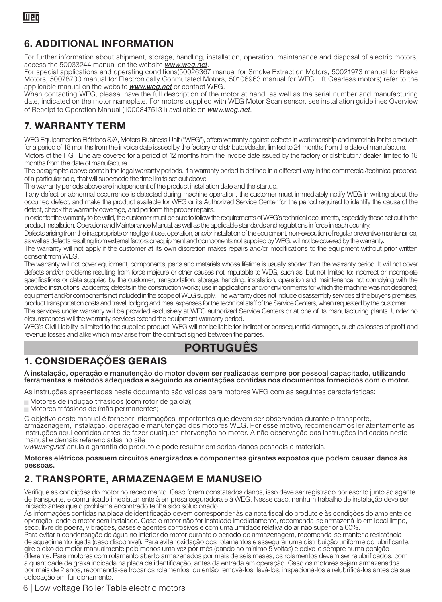### 6. ADDITIONAL INFORMATION

For further information about shipment, storage, handling, installation, operation, maintenance and disposal of electric motors, access the 50033244 manual on the website *www.weg.net*.

For special applications and operating conditions(50026367 manual for Smoke Extraction Motors, 50021973 manual for Brake Motors, 50078700 manual for Electronically Conmutated Motors, 50106963 manual for WEG Lift Gearless motors) refer to the applicable manual on the website *www.weg.net* or contact WEG.

When contacting WEG, please, have the full description of the motor at hand, as well as the serial number and manufacturing date, indicated on the motor nameplate. For motors supplied with WEG Motor Scan sensor, see installation guidelines Overview of Receipt to Operation Manual (10008475131) available on *www.weg.net*.

### 7. WARRANTY TERM

WEG Equipamentos Elétricos S/A, Motors Business Unit ("WEG"), offers warranty against defects in workmanship and materials for its products for a period of 18 months from the invoice date issued by the factory or distributor/dealer, limited to 24 months from the date of manufacture.

Motors of the HGF Line are covered for a period of 12 months from the invoice date issued by the factory or distributor / dealer, limited to 18 months from the date of manufacture.

The paragraphs above contain the legal warranty periods. If a warranty period is defined in a different way in the commercial/technical proposal of a particular sale, that will supersede the time limits set out above.

The warranty periods above are independent of the product installation date and the startup.

If any defect or abnormal occurrence is detected during machine operation, the customer must immediately notify WEG in writing about the occurred defect, and make the product available for WEG or its Authorized Service Center for the period required to identify the cause of the defect, check the warranty coverage, and perform the proper repairs.

In order for the warranty to be valid, the customer must be sure to follow the requirements of WEG's technical documents, especially those set out in the product Installation, Operation and Maintenance Manual, as well as the applicable standards and regulations in force in each country.

Defects arising from the inappropriate or negligent use, operation, and/or installation of the equipment, non-execution of regular preventive maintenance, as well as defects resulting from external factors or equipment and components not supplied by WEG, will not be covered by the warranty.

The warranty will not apply if the customer at its own discretion makes repairs and/or modifications to the equipment without prior written consent from WEG.

The warranty will not cover equipment, components, parts and materials whose lifetime is usually shorter than the warranty period. It will not cover defects and/or problems resulting from force majeure or other causes not imputable to WEG, such as, but not limited to: incorrect or incomplete specifications or data supplied by the customer; transportation, storage, handling, installation, operation and maintenance not complying with the provided instructions; accidents; defects in the construction works; use in applications and/or environments for which the machine was not designed; equipment and/or components not included in the scope of WEG supply. The warranty does not include disassembly services at the buyer's premises, product transportation costs and travel, lodging and meal expenses for the technical staff of the Service Centers, when requested by the customer.

The services under warranty will be provided exclusively at WEG authorized Service Centers or at one of its manufacturing plants. Under no circumstances will the warranty services extend the equipment warranty period.

WEG's Civil Liability is limited to the supplied product; WEG will not be liable for indirect or consequential damages, such as losses of profit and revenue losses and alike which may arise from the contract signed between the parties.

### PORTUGUÊS

### 1. CONSIDERAÇÕES GERAIS

A instalação, operação e manutenção do motor devem ser realizadas sempre por pessoal capacitado, utilizando ferramentas e métodos adequados e seguindo as orientações contidas nos documentos fornecidos com o motor.

As instruções apresentadas neste documento são válidas para motores WEG com as seguintes características:

<sup>J</sup> Motores de indução trifásicos (com rotor de gaiola);

Motores trifásicos de ímãs permanentes;

O objetivo deste manual é fornecer informações importantes que devem ser observadas durante o transporte, armazenagem, instalação, operação e manutenção dos motores WEG. Por esse motivo, recomendamos ler atentamente as instruções aqui contidas antes de fazer qualquer intervenção no motor. A não observação das instruções indicadas neste manual e demais referenciadas no site

www.weg.net anula a garantia do produto e pode resultar em sérios danos pessoais e materiais.

Motores elétricos possuem circuitos energizados e componentes girantes expostos que podem causar danos às pessoas.

### 2. TRANSPORTE, ARMAZENAGEM E MANUSEIO

Verifique as condições do motor no recebimento. Caso forem constatados danos, isso deve ser registrado por escrito junto ao agente de transporte, e comunicado imediatamente à empresa seguradora e à WEG. Nesse caso, nenhum trabalho de instalação deve ser iniciado antes que o problema encontrado tenha sido solucionado.

As informações contidas na placa de identificação devem corresponder às da nota fiscal do produto e às condições do ambiente de operação, onde o motor será instalado. Caso o motor não for instalado imediatamente, recomenda-se armazená-lo em local limpo, seco, livre de poeira, vibrações, gases e agentes corrosivos e com uma umidade relativa do ar não superior a 60%.

Para evitar a condensação de água no interior do motor durante o período de armazenagem, recomenda-se manter a resistência de aquecimento ligada (caso disponível). Para evitar oxidação dos rolamentos e assegurar uma distribuição uniforme do lubrificante, gire o eixo do motor manualmente pelo menos uma vez por mês (dando no mínimo 5 voltas) e deixe-o sempre numa posição diferente. Para motores com rolamento aberto armazenados por mais de seis meses, os rolamentos devem ser relubrificados, com a quantidade de graxa indicada na placa de identificação, antes da entrada em operação. Caso os motores sejam armazenados por mais de 2 anos, recomenda-se trocar os rolamentos, ou então removê-los, lavá-los, inspecioná-los e relubrificá-los antes da sua colocação em funcionamento.

6 | Low voltage Roller Table electric motors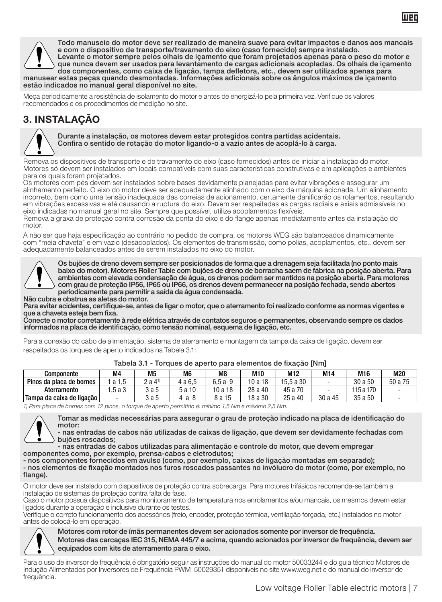

Todo manuseio do motor deve ser realizado de maneira suave para evitar impactos e danos aos mancais e com o dispositivo de transporte/travamento do eixo (caso fornecido) sempre instalado. Levante o motor sempre pelos olhais de içamento que foram projetados apenas para o peso do motor e que nunca devem ser usados para levantamento de cargas adicionais acopladas. Os olhais de içamento dos componentes, como caixa de ligação, tampa defletora, etc., devem ser utilizados apenas para

manusear estas peças quando desmontadas. Informações adicionais sobre os ângulos máximos de içamento estão indicados no manual geral disponível no site.

Meça periodicamente a resistência de isolamento do motor e antes de energizá-lo pela primeira vez. Verifique os valores recomendados e os procedimentos de medição no site.

### 3. INSTALAÇÃO



Durante a instalação, os motores devem estar protegidos contra partidas acidentais. Confira o sentido de rotação do motor ligando-o a vazio antes de acoplá-lo à carga.

Remova os dispositivos de transporte e de travamento do eixo (caso fornecidos) antes de iniciar a instalação do motor. Motores só devem ser instalados em locais compatíveis com suas características construtivas e em aplicações e ambientes para os quais foram projetados.

Os motores com pés devem ser instalados sobre bases devidamente planejadas para evitar vibrações e assegurar um alinhamento perfeito. O eixo do motor deve ser adequadamente alinhado com o eixo da máquina acionada. Um alinhamento incorreto, bem como uma tensão inadequada das correias de acionamento, certamente danificarão os rolamentos, resultando em vibrações excessivas e até causando a ruptura do eixo. Devem ser respeitadas as cargas radiais e axiais admissíveis no eixo indicadas no manual geral no site. Sempre que possível, utilize acoplamentos flexíveis.

Remova a graxa de proteção contra corrosão da ponta do eixo e do flange apenas imediatamente antes da instalação do motor.

A não ser que haja especificação ao contrário no pedido de compra, os motores WEG são balanceados dinamicamente com "meia chaveta" e em vazio (desacoplados). Os elementos de transmissão, como polias, acoplamentos, etc., devem ser adequadamente balanceados antes de serem instalados no eixo do motor.



Os bujões de dreno devem sempre ser posicionados de forma que a drenagem seja facilitada (no ponto mais baixo do motor). Motores Roller Table com bujões de dreno de borracha saem de fábrica na posição aberta. Para ambientes com elevada condensação de água, os drenos podem ser mantidos na posição aberta. Para motores com grau de proteção IP56, IP65 ou IP66, os drenos devem permanecer na posição fechada, sendo abertos periodicamente para permitir a saída da água condensada.

Não cubra e obstrua as aletas do motor.

Para evitar acidentes, certifique-se, antes de ligar o motor, que o aterramento foi realizado conforme as normas vigentes e que a chaveta esteja bem fixa.

Conecte o motor corretamente à rede elétrica através de contatos seguros e permanentes, observando sempre os dados informados na placa de identificação, como tensão nominal, esquema de ligação, etc.

Para a conexão do cabo de alimentação, sistema de aterramento e montagem da tampa da caixa de ligação, devem ser respeitados os torques de aperto indicados na Tabela 3.1:

| Componente                                                                                                                                                                          | M <sub>4</sub> | M5                  | M <sub>6</sub> | M <sub>8</sub> | M10     | M12       | M14     | M16       | M20     |
|-------------------------------------------------------------------------------------------------------------------------------------------------------------------------------------|----------------|---------------------|----------------|----------------|---------|-----------|---------|-----------|---------|
| Pinos da placa de bornes                                                                                                                                                            | 1 a 1.5        | $2a4$ <sup>1)</sup> | 4 a 6.5        | $6.5a$ 9       | 10 a 18 | 15.5 a 30 |         | 30 a 50   | 50 a 75 |
| Aterramento                                                                                                                                                                         | .5a3           | 3a5                 | 5 a 10         | 10 a 18        | 28 a 40 | 45 a 70   | $\sim$  | 115 a 170 | ٠       |
| Tampa da caixa de ligação                                                                                                                                                           | ۰              | 3 a 5               | 4а8            | 8 a 15         | 18 a 30 | 25 a 40   | 30 a 45 | 35 a 50   |         |
| $\mathcal{L}(\mathcal{D}) = \{ \mathcal{L}(\mathcal{D}) \mid \mathcal{L}(\mathcal{D}) \leq \mathcal{L}(\mathcal{D}) \mid \mathcal{L}(\mathcal{D}) \leq \mathcal{L}(\mathcal{D}) \}$ |                |                     |                |                |         |           |         |           |         |

### Tabela 3.1 - Torques de aperto para elementos de fixação [Nm]

1) Para placa de bornes com 12 pinos, o torque de aperto permitido é: mínimo 1,5 Nm e máximo 2,5 Nm.

Tomar as medidas necessárias para assegurar o grau de proteção indicado na placa de identificação do motor:

nas entradas de cabos não utilizadas de caixas de ligação, que devem ser devidamente fechadas com bujões roscados;

- nas entradas de cabos utilizadas para alimentação e controle do motor, que devem empregar

componentes como, por exemplo, prensa-cabos e eletrodutos; - nos componentes fornecidos em avulso (como, por exemplo, caixas de ligação montadas em separado); - nos elementos de fixação montados nos furos roscados passantes no invólucro do motor (como, por exemplo, no flange).

O motor deve ser instalado com dispositivos de proteção contra sobrecarga. Para motores trifásicos recomenda-se também a instalação de sistemas de proteção contra falta de fase.

Caso o motor possua dispositivos para monitoramento de temperatura nos enrolamentos e/ou mancais, os mesmos devem estar ligados durante a operação e inclusive durante os testes.

Verifique o correto funcionamento dos acessórios (freio, encoder, proteção térmica, ventilação forçada, etc.) instalados no motor antes de colocá-lo em operação.



Motores com rotor de ímãs permanentes devem ser acionados somente por inversor de frequência. Motores das carcaças IEC 315, NEMA 445/7 e acima, quando acionados por inversor de frequência, devem ser equipados com kits de aterramento para o eixo.

Para o uso de inversor de frequência é obrigatório seguir as instruções do manual do motor 50033244 e do guia técnico Motores de Indução Alimentados por Inversores de Frequência PWM 50029351 disponíveis no site www.weg.net e do manual do inversor de frequência.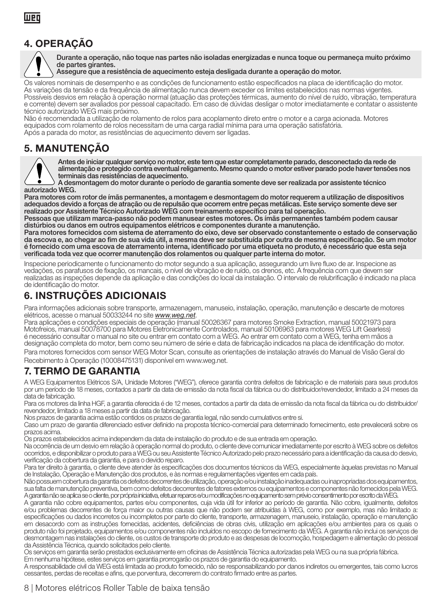### 4. OPERAÇÃO



Durante a operação, não toque nas partes não isoladas energizadas e nunca toque ou permaneça muito próximo de partes girantes.

Assegure que a resistência de aquecimento esteja desligada durante a operação do motor.

Os valores nominais de desempenho e as condições de funcionamento estão especificados na placa de identificação do motor. As variações da tensão e da frequência de alimentação nunca devem exceder os limites estabelecidos nas normas vigentes. Possíveis desvios em relação à operação normal (atuação das proteções térmicas, aumento do nível de ruído, vibração, temperatura e corrente) devem ser avaliados por pessoal capacitado. Em caso de dúvidas desligar o motor imediatamente e contatar o assistente técnico autorizado WEG mais próximo.

Não é recomendada a utilização de rolamento de rolos para acoplamento direto entre o motor e a carga acionada. Motores equipados com rolamento de rolos necessitam de uma carga radial mínima para uma operação satisfatória. Após a parada do motor, as resistências de aquecimento devem ser ligadas.

### 5. MANUTENÇÃO

Antes de iniciar qualquer serviço no motor, este tem que estar completamente parado, desconectado da rede de alimentação e protegido contra eventual religamento. Mesmo quando o motor estiver parado pode haver tensões nos terminais das resistências de aquecimento.

A desmontagem do motor durante o período de garantia somente deve ser realizada por assistente técnico autorizado WEG.

Para motores com rotor de ímãs permanentes, a montagem e desmontagem do motor requerem a utilização de dispositivos adequados devido a forças de atração ou de repulsão que ocorrem entre peças metálicas. Este serviço somente deve ser realizado por Assistente Técnico Autorizado WEG com treinamento específico para tal operação.

Pessoas que utilizam marca-passo não podem manusear estes motores. Os ímãs permanentes também podem causar distúrbios ou danos em outros equipamentos elétricos e componentes durante a manutenção.

Para motores fornecidos com sistema de aterramento do eixo, deve ser observado constantemente o estado de conservação da escova e, ao chegar ao fim de sua vida útil, a mesma deve ser substituída por outra de mesma especificação. Se um motor é fornecido com uma escova de aterramento interna, identificado por uma etiqueta no produto, é necessário que esta seja verificada toda vez que ocorrer manutenção dos rolamentos ou qualquer parte interna do motor.

Inspecione periodicamente o funcionamento do motor segundo a sua aplicação, assegurando um livre fluxo de ar. Inspecione as vedações, os parafusos de fixação, os mancais, o nível de vibração e de ruído, os drenos, etc. A frequência com que devem ser realizadas as inspeções depende da aplicação e das condições do local da instalação. O intervalo de relubrificação é indicado na placa de identificação do motor.

### 6. INSTRUÇÕES ADICIONAIS

Para informações adicionais sobre transporte, armazenagem, manuseio, instalação, operação, manutenção e descarte de motores elétricos, acesse o manual 50033244 no site *www.weg.net*.

Para aplicações e condições especiais de operação (manual 50026367 para motores Smoke Extraction, manual 50021973 para Motofreios, manual 50078700 para Motores Eletronicamente Controlados, manual 50106963 para motores WEG Lift Gearless) é necessário consultar o manual no site ou entrar em contato com a WEG. Ao entrar em contato com a WEG, tenha em mãos a designação completa do motor, bem como seu número de série e data de fabricação indicados na placa de identificação do motor. Para motores fornecidos com sensor WEG Motor Scan, consulte as orientações de instalação através do Manual de Visão Geral do Recebimento à Operação (10008475131) disponível em www.weg.net.

### 7. TERMO DE GARANTIA

A WEG Equipamentos Elétricos S/A, Unidade Motores ("WEG"), oferece garantia contra defeitos de fabricação e de materiais para seus produtos por um período de 18 meses, contados a partir da data de emissão da nota fiscal da fábrica ou do distribuidor/revendedor, limitado a 24 meses da data de fabricação.

Para os motores da linha HGF, a garantia oferecida é de 12 meses, contados a partir da data de emissão da nota fiscal da fábrica ou do distribuidor/ revendedor, limitado a 18 meses a partir da data de fabricação.

Nos prazos de garantia acima estão contidos os prazos de garantia legal, não sendo cumulativos entre si.

Caso um prazo de garantia diferenciado estiver definido na proposta técnico-comercial para determinado fornecimento, este prevalecerá sobre os prazos acima.

Os prazos estabelecidos acima independem da data de instalação do produto e de sua entrada em operação.

Na ocorrência de um desvio em relação à operação normal do produto, o cliente deve comunicar imediatamente por escrito à WEG sobre os defeitos ocorridos, e disponibilizar o produto para a WEG ou seu Assistente Técnico Autorizado pelo prazo necessário para a identificação da causa do desvio, verificação da cobertura da garantia, e para o devido reparo.

Para ter direito à garantia, o cliente deve atender às especificações dos documentos técnicos da WEG, especialmente àquelas previstas no Manual de Instalação, Operação e Manutenção dos produtos, e às normas e regulamentações vigentes em cada país.

Não possuem cobertura da garantia os defeitos decorrentes de utilização, operação e/ou instalação inadequadas ou inapropriadas dos equipamentos, sua falta de manutenção preventiva, bem como defeitos decorrentes de fatores externos ou equipamentos e componentes não fornecidos pela WEG. A garantia não se aplica se o cliente, por própria iniciativa, efetuar reparos e/ou modificações no equipamento sem prévio consentimento por escrito da WEG.

A garantia não cobre equipamentos, partes e/ou componentes, cuja vida útil for inferior ao período de garantia. Não cobre, igualmente, defeitos<br>e/ou problemas decorrentes de força maior ou outras causas que não podem ser a especificações ou dados incorretos ou incompletos por parte do cliente, transporte, armazenagem, manuseio, instalação, operação e manutenção em desacordo com as instruções fornecidas, acidentes, deficiências de obras civis, utilização em aplicações e/ou ambientes para os quais o produto não foi projetado, equipamentos e/ou componentes não incluídos no escopo de fornecimento da WEG. A garantia não inclui os serviços de desmontagem nas instalações do cliente, os custos de transporte do produto e as despesas de locomoção, hospedagem e alimentação do pessoal da Assistência Técnica, quando solicitados pelo cliente.

Os serviços em garantia serão prestados exclusivamente em oficinas de Assistência Técnica autorizadas pela WEG ou na sua própria fábrica. Em nenhuma hipótese, estes serviços em garantia prorrogarão os prazos de garantia do equipamento.

A responsabilidade civil da WEG está limitada ao produto fornecido, não se responsabilizando por danos indiretos ou emergentes, tais como lucros cessantes, perdas de receitas e afins, que porventura, decorrerem do contrato firmado entre as partes.

### 8 | Motores elétricos Roller Table de baixa tensão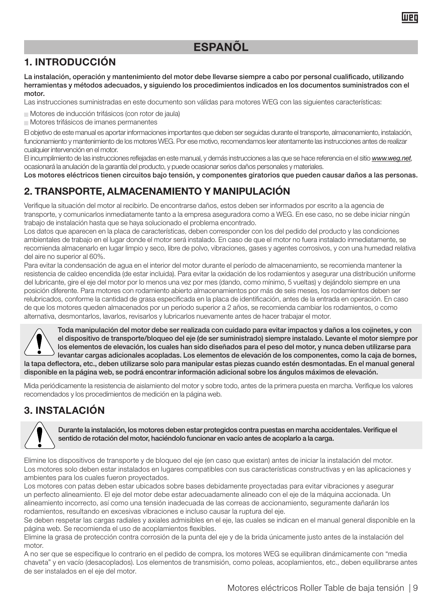### 1. INTRODUCCIÓN

La instalación, operación y mantenimiento del motor debe llevarse siempre a cabo por personal cualificado, utilizando herramientas y métodos adecuados, y siguiendo los procedimientos indicados en los documentos suministrados con el motor.

Las instrucciones suministradas en este documento son válidas para motores WEG con las siguientes características:

- $\blacksquare$  Motores de inducción trifásicos (con rotor de jaula)
- $\blacksquare$  Motores trifásicos de imanes permanentes

El objetivo de este manual es aportar informaciones importantes que deben ser seguidas durante el transporte, almacenamiento, instalación, funcionamiento y mantenimiento de los motores WEG. Por ese motivo, recomendamos leer atentamente las instrucciones antes de realizar cualquier intervención en el motor.

El incumplimiento de las instrucciones reflejadas en este manual, y demás instrucciones a las que se hace referencia en el sitio *www.weg.net*, ocasionará la anulación de la garantía del producto, y puede ocasionar serios daños personales y materiales.

Los motores eléctricos tienen circuitos bajo tensión, y componentes giratorios que pueden causar daños a las personas.

### 2. TRANSPORTE, ALMACENAMIENTO Y MANIPULACIÓN

Verifique la situación del motor al recibirlo. De encontrarse daños, estos deben ser informados por escrito a la agencia de transporte, y comunicarlos inmediatamente tanto a la empresa aseguradora como a WEG. En ese caso, no se debe iniciar ningún trabajo de instalación hasta que se haya solucionado el problema encontrado.

Los datos que aparecen en la placa de características, deben corresponder con los del pedido del producto y las condiciones ambientales de trabajo en el lugar donde el motor será instalado. En caso de que el motor no fuera instalado inmediatamente, se recomienda almacenarlo en lugar limpio y seco, libre de polvo, vibraciones, gases y agentes corrosivos, y con una humedad relativa del aire no superior al 60%.

Para evitar la condensación de agua en el interior del motor durante el período de almacenamiento, se recomienda mantener la resistencia de caldeo encendida (de estar incluida). Para evitar la oxidación de los rodamientos y asegurar una distribución uniforme del lubricante, gire el eje del motor por lo menos una vez por mes (dando, como mínimo, 5 vueltas) y dejándolo siempre en una posición diferente. Para motores con rodamiento abierto almacenamientos por más de seis meses, los rodamientos deben ser relubricados, conforme la cantidad de grasa especificada en la placa de identificación, antes de la entrada en operación. En caso de que los motores queden almacenados por un periodo superior a 2 años, se recomienda cambiar los rodamientos, o como alternativa, desmontarlos, lavarlos, revisarlos y lubricarlos nuevamente antes de hacer trabajar el motor.



Toda manipulación del motor debe ser realizada con cuidado para evitar impactos y daños a los cojinetes, y con el dispositivo de transporte/bloqueo del eje (de ser suministrado) siempre instalado. Levante el motor siempre por los elementos de elevación, los cuales han sido diseñados para el peso del motor, y nunca deben utilizarse para levantar cargas adicionales acopladas. Los elementos de elevación de los componentes, como la caja de bornes, la tapa deflectora, etc., deben utilizarse solo para manipular estas piezas cuando estén desmontadas. En el manual general disponible en la página web, se podrá encontrar información adicional sobre los ángulos máximos de elevación.

Mida periódicamente la resistencia de aislamiento del motor y sobre todo, antes de la primera puesta en marcha. Verifique los valores recomendados y los procedimientos de medición en la página web.

### 3. INSTALACIÓN



Durante la instalación, los motores deben estar protegidos contra puestas en marcha accidentales. Verifique el sentido de rotación del motor, haciéndolo funcionar en vacío antes de acoplarlo a la carga.

Elimine los dispositivos de transporte y de bloqueo del eje (en caso que existan) antes de iniciar la instalación del motor. Los motores solo deben estar instalados en lugares compatibles con sus características constructivas y en las aplicaciones y ambientes para los cuales fueron proyectados.

Los motores con patas deben estar ubicados sobre bases debidamente proyectadas para evitar vibraciones y asegurar un perfecto alineamiento. El eje del motor debe estar adecuadamente alineado con el eje de la máquina accionada. Un alineamiento incorrecto, así como una tensión inadecuada de las correas de accionamiento, seguramente dañarán los rodamientos, resultando en excesivas vibraciones e incluso causar la ruptura del eje.

Se deben respetar las cargas radiales y axiales admisibles en el eje, las cuales se indican en el manual general disponible en la página web. Se recomienda el uso de acoplamientos flexibles.

Elimine la grasa de protección contra corrosión de la punta del eje y de la brida únicamente justo antes de la instalación del motor.

A no ser que se especifique lo contrario en el pedido de compra, los motores WEG se equilibran dinámicamente con "media chaveta" y en vacío (desacoplados). Los elementos de transmisión, como poleas, acoplamientos, etc., deben equilibrarse antes de ser instalados en el eje del motor.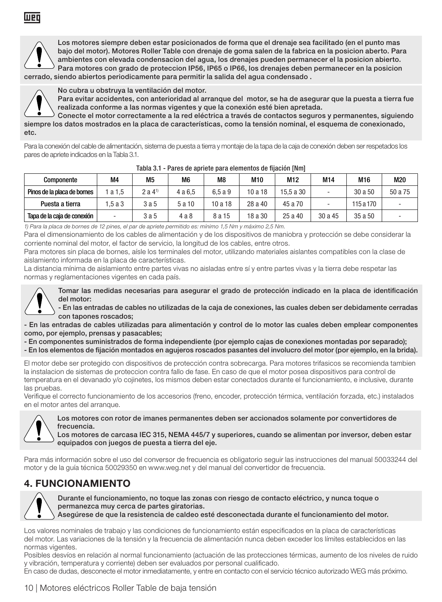

Los motores siempre deben estar posicionados de forma que el drenaje sea facilitado (en el punto mas bajo del motor). Motores Roller Table con drenaje de goma salen de la fabrica en la posicion aberto. Para ambientes con elevada condensacion del agua, los drenajes pueden permanecer el la posicion abierto. Para motores con grado de proteccion IP56, IP65 o IP66, los drenajes deben permanecer en la posicion cerrado, siendo abiertos periodicamente para permitir la salida del agua condensado .



No cubra u obstruya la ventilación del motor.

Para evitar accidentes, con anterioridad al arranque del motor, se ha de asegurar que la puesta a tierra fue realizada conforme a las normas vigentes y que la conexión esté bien apretada.

Conecte el motor correctamente a la red eléctrica a través de contactos seguros y permanentes, siguiendo siempre los datos mostrados en la placa de características, como la tensión nominal, el esquema de conexionado, etc.

Para la conexión del cable de alimentación, sistema de puesta a tierra y montaje de la tapa de la caja de conexión deben ser respetados los pares de apriete indicados en la Tabla 3.1.

| Componente                  | M4      | M <sub>5</sub>    | M <sub>6</sub> | M8      | M10     | M12       | M14     | M16       | M20     |
|-----------------------------|---------|-------------------|----------------|---------|---------|-----------|---------|-----------|---------|
| Pinos de la placa de bornes | 1 a 1.5 | 2a 4 <sup>1</sup> | 4 a 6.5        | 6.5a9   | 10 a 18 | 15.5 a 30 |         | 30 a 50   | 50 a 75 |
| Puesta a tierra             | 1.5a3   | 3a5               | 5 a 10         | 10 a 18 | 28 a 40 | 45 a 70   |         | 115 a 170 |         |
| Tapa de la caia de conexión | ۰       | 3a5               | 4a8            | 8 a 15  | 18 a 30 | 25a40     | 30 a 45 | 35 a 50   |         |

### Tabla 3.1 - Pares de apriete para elementos de fijación [Nm]

1) Para la placa de bornes de 12 pines, el par de apriete permitido es: mínimo 1,5 Nm y máximo 2,5 Nm.

Para el dimensionamiento de los cables de alimentación y de los dispositivos de maniobra y protección se debe considerar la corriente nominal del motor, el factor de servicio, la longitud de los cables, entre otros.

Para motores sin placa de bornes, aísle los terminales del motor, utilizando materiales aislantes compatibles con la clase de aislamiento informada en la placa de características.

La distancia mínima de aislamiento entre partes vivas no aisladas entre sí y entre partes vivas y la tierra debe respetar las normas y reglamentaciones vigentes en cada país.



Tomar las medidas necesarias para asegurar el grado de protección indicado en la placa de identificación del motor:

- En las entradas de cables no utilizadas de la caja de conexiones, las cuales deben ser debidamente cerradas con tapones roscados;

- En las entradas de cables utilizadas para alimentación y control de lo motor las cuales deben emplear componentes como, por ejemplo, prensas y pasacables;

- En componentes suministrados de forma independiente (por ejemplo cajas de conexiones montadas por separado);

- En los elementos de fijación montados en agujeros roscados pasantes del involucro del motor (por ejemplo, en la brida).

El motor debe ser protegido con dispositivos de protección contra sobrecarga. Para motores trifasicos se recomienda tambien la instalacion de sistemas de proteccion contra fallo de fase. En caso de que el motor posea dispositivos para control de temperatura en el devanado y/o cojinetes, los mismos deben estar conectados durante el funcionamiento, e inclusive, durante las pruebas.

Verifique el correcto funcionamiento de los accesorios (freno, encoder, protección térmica, ventilación forzada, etc.) instalados en el motor antes del arranque.



Los motores con rotor de imanes permanentes deben ser accionados solamente por convertidores de frecuencia.

Los motores de carcasa IEC 315, NEMA 445/7 y superiores, cuando se alimentan por inversor, deben estar equipados con juegos de puesta a tierra del eje.

Para más información sobre el uso del conversor de frecuencia es obligatorio seguir las instrucciones del manual 50033244 del motor y de la guía técnica 50029350 en www.weg.net y del manual del convertidor de frecuencia.

### 4. FUNCIONAMIENTO



Durante el funcionamiento, no toque las zonas con riesgo de contacto eléctrico, y nunca toque o permanezca muy cerca de partes giratorias.

Asegúrese de que la resistencia de caldeo esté desconectada durante el funcionamiento del motor.

Los valores nominales de trabajo y las condiciones de funcionamiento están especificados en la placa de características del motor. Las variaciones de la tensión y la frecuencia de alimentación nunca deben exceder los límites establecidos en las normas vigentes.

Posibles desvíos en relación al normal funcionamiento (actuación de las protecciones térmicas, aumento de los niveles de ruido y vibración, temperatura y corriente) deben ser evaluados por personal cualificado.

En caso de dudas, desconecte el motor inmediatamente, y entre en contacto con el servicio técnico autorizado WEG más próximo.

### 10 | Motores eléctricos Roller Table de baja tensión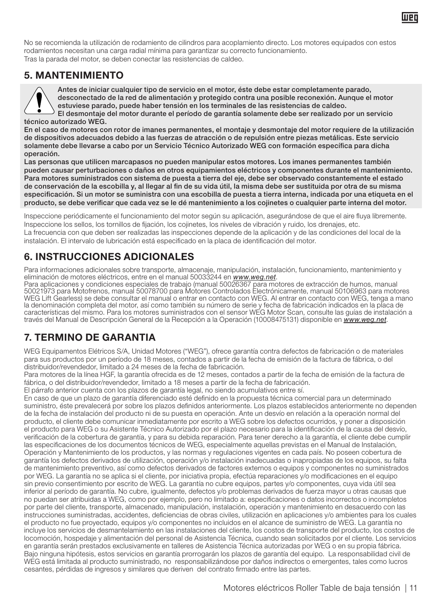No se recomienda la utilización de rodamiento de cilindros para acoplamiento directo. Los motores equipados con estos rodamientos necesitan una carga radial mínima para garantizar su correcto funcionamiento. Tras la parada del motor, se deben conectar las resistencias de caldeo.

### 5. MANTENIMIENTO

Antes de iniciar cualquier tipo de servicio en el motor, éste debe estar completamente parado, desconectado de la red de alimentación y protegido contra una posible reconexión. Aunque el motor estuviese parado, puede haber tensión en los terminales de las resistencias de caldeo. El desmontaje del motor durante el período de garantía solamente debe ser realizado por un servicio

técnico autorizado WEG. En el caso de motores con rotor de imanes permanentes, el montaje y desmontaje del motor requiere de la utilización de dispositivos adecuados debido a las fuerzas de atracción o de repulsión entre piezas metálicas. Este servicio solamente debe llevarse a cabo por un Servicio Técnico Autorizado WEG con formación específica para dicha operación.

Las personas que utilicen marcapasos no pueden manipular estos motores. Los imanes permanentes también pueden causar perturbaciones o daños en otros equipamientos eléctricos y componentes durante el mantenimiento. Para motores suministrados con sistema de puesta a tierra del eje, debe ser observado constantemente el estado de conservación de la escobilla y, al llegar al fin de su vida útil, la misma debe ser sustituida por otra de su misma especificación. Si un motor se suministra con una escobilla de puesta a tierra interna, indicada por una etiqueta en el producto, se debe verificar que cada vez se le dé mantenimiento a los cojinetes o cualquier parte interna del motor.

Inspeccione periódicamente el funcionamiento del motor según su aplicación, asegurándose de que el aire fluya libremente. Inspeccione los sellos, los tornillos de fijación, los cojinetes, los niveles de vibración y ruido, los drenajes, etc. La frecuencia con que deben ser realizadas las inspecciones depende de la aplicación y de las condiciones del local de la instalación. El intervalo de lubricación está especificado en la placa de identificación del motor.

### 6. INSTRUCCIONES ADICIONALES

Para informaciones adicionales sobre transporte, almacenaje, manipulación, instalación, funcionamiento, mantenimiento y<br>eliminación de motores eléctricos, entre en el manual 50033244 en <u>www.weg.net</u>.<br>Para aplicaciones y c

50021973 para Motofrenos, manual 50078700 para Motores Controlados Electrónicamente, manual 50106963 para motores WEG Lift Gearless) se debe consultar el manual o entrar en contacto con WEG. Al entrar en contacto con WEG, tenga a mano la denominación completa del motor, así como también su número de serie y fecha de fabricación indicados en la placa de características del mismo. Para los motores suministrados con el sensor WEG Motor Scan, consulte las guías de instalación a través del Manual de Descripción General de la Recepción a la Operación (10008475131) disponible en *www.weg.net*.

# 7. TERMINO DE GARANTIA

WEG Equipamentos Elétricos S/A, Unidad Motores ("WEG"), ofrece garantía contra defectos de fabricación o de materiales para sus productos por un período de 18 meses, contados a partir de la fecha de emisión de la factura de fábrica, o del distribuidor/revendedor, limitado a 24 meses de la fecha de fabricación.

Para motores de la línea HGF, la garantía ofrecida es de 12 meses, contados a partir de la fecha de emisión de la factura de fábrica, o del distribuidor/revendedor, limitado a 18 meses a partir de la fecha de fabricación.

El párrafo anterior cuenta con los plazos de garantía legal, no siendo acumulativos entre sí.

En caso de que un plazo de garantía diferenciado esté definido en la propuesta técnica comercial para un determinado suministro, éste prevalecerá por sobre los plazos definidos anteriormente. Los plazos establecidos anteriormente no dependen de la fecha de instalación del producto ni de su puesta en operación. Ante un desvío en relación a la operación normal del producto, el cliente debe comunicar inmediatamente por escrito a WEG sobre los defectos ocurridos, y poner a disposición el producto para WEG o su Asistente Técnico Autorizado por el plazo necesario para la identificación de la causa del desvío, verificación de la cobertura de garantía, y para su debida reparación. Para tener derecho a la garantía, el cliente debe cumplir las especificaciones de los documentos técnicos de WEG, especialmente aquellas previstas en el Manual de Instalación, Operación y Mantenimiento de los productos, y las normas y regulaciones vigentes en cada país. No poseen cobertura de garantía los defectos derivados de utilización, operación y/o instalación inadecuadas o inapropiadas de los equipos, su falta de mantenimiento preventivo, así como defectos derivados de factores externos o equipos y componentes no suministrados por WEG. La garantía no se aplica si el cliente, por iniciativa propia, efectúa reparaciones y/o modificaciones en el equipo sin previo consentimiento por escrito de WEG. La garantía no cubre equipos, partes y/o componentes, cuya vida útil sea inferior al período de garantía. No cubre, igualmente, defectos y/o problemas derivados de fuerza mayor u otras causas que no puedan ser atribuidas a WEG, como por ejemplo, pero no limitado a: especificaciones o datos incorrectos o incompletos por parte del cliente, transporte, almacenado, manipulación, instalación, operación y mantenimiento en desacuerdo con las instrucciones suministradas, accidentes, deficiencias de obras civiles, utilización en aplicaciones y/o ambientes para los cuales el producto no fue proyectado, equipos y/o componentes no incluidos en el alcance de suministro de WEG. La garantía no incluye los servicios de desmantelamiento en las instalaciones del cliente, los costos de transporte del producto, los costos de locomoción, hospedaje y alimentación del personal de Asistencia Técnica, cuando sean solicitados por el cliente. Los servicios en garantía serán prestados exclusivamente en talleres de Asistencia Técnica autorizadas por WEG o en su propia fábrica. Bajo ninguna hipótesis, estos servicios en garantía prorrogarán los plazos de garantía del equipo. La responsabilidad civil de WEG está limitada al producto suministrado, no responsabilizándose por daños indirectos o emergentes, tales como lucros cesantes, pérdidas de ingresos y similares que deriven del contrato firmado entre las partes.

llier